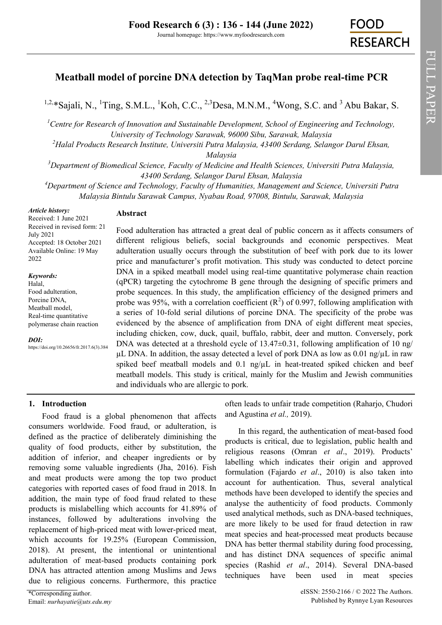# **Meatball model of porcine DNA detection by TaqMan probe real-time PCR**

<sup>1,2,\*</sup>[Sajali, N.,](https://orcid.org/0000-0002-5172-7416) <sup>1</sup>[Ting, S.M.L.,](https://orcid.org/0000-0002-1591-2227) <sup>1</sup>[Koh, C.C.,](https://orcid.org/0000-0001-7633-462X) <sup>2,3</sup>[Desa, M.N.M.,](https://orcid.org/0000-0003-0200-4796) <sup>4</sup>[Wong, S.C. a](https://orcid.org/0000-0002-4483-6972)nd <sup>3</sup> Abu Bakar, S.

*<sup>1</sup>Centre for Research of Innovation and Sustainable Development, School of Engineering and Technology, University of Technology Sarawak, 96000 Sibu, Sarawak, Malaysia*

*<sup>2</sup>Halal Products Research Institute, Universiti Putra Malaysia, 43400 Serdang, Selangor Darul Ehsan,* 

*Malaysia*

*<sup>3</sup>Department of Biomedical Science, Faculty of Medicine and Health Sciences, Universiti Putra Malaysia, 43400 Serdang, Selangor Darul Ehsan, Malaysia*

*<sup>4</sup>Department of Science and Technology, Faculty of Humanities, Management and Science, Universiti Putra Malaysia Bintulu Sarawak Campus, Nyabau Road, 97008, Bintulu, Sarawak, Malaysia*

*Article history:* Received: 1 June 2021 Received in revised form: 21 July 2021 Accepted: 18 October 2021 Available Online: 19 May 2022

#### *Keywords:*

Halal, Food adulteration, Porcine DNA, Meatball model, Real-time quantitative polymerase chain reaction

*DOI:*

https://doi.org/10.26656/fr.2017.6(3).384

### **Abstract**

Food adulteration has attracted a great deal of public concern as it affects consumers of different religious beliefs, social backgrounds and economic perspectives. Meat adulteration usually occurs through the substitution of beef with pork due to its lower price and manufacturer's profit motivation. This study was conducted to detect porcine DNA in a spiked meatball model using real-time quantitative polymerase chain reaction (qPCR) targeting the cytochrome B gene through the designing of specific primers and probe sequences. In this study, the amplification efficiency of the designed primers and probe was 95%, with a correlation coefficient  $(R^2)$  of 0.997, following amplification with a series of 10-fold serial dilutions of porcine DNA. The specificity of the probe was evidenced by the absence of amplification from DNA of eight different meat species, including chicken, cow, duck, quail, buffalo, rabbit, deer and mutton. Conversely, pork DNA was detected at a threshold cycle of 13.47 $\pm$ 0.31, following amplification of 10 ng/  $\mu$ L DNA. In addition, the assay detected a level of pork DNA as low as 0.01 ng/ $\mu$ L in raw spiked beef meatball models and  $0.1 \text{ ng/µL}$  in heat-treated spiked chicken and beef meatball models. This study is critical, mainly for the Muslim and Jewish communities and individuals who are allergic to pork.

and Agustina *et al.,* 2019).

### **1. Introduction**

Food fraud is a global phenomenon that affects consumers worldwide. Food fraud, or adulteration, is defined as the practice of deliberately diminishing the quality of food products, either by substitution, the addition of inferior, and cheaper ingredients or by removing some valuable ingredients (Jha, 2016). Fish and meat products were among the top two product categories with reported cases of food fraud in 2018. In addition, the main type of food fraud related to these products is mislabelling which accounts for 41.89% of instances, followed by adulterations involving the replacement of high-priced meat with lower-priced meat, which accounts for 19.25% (European Commission, 2018). At present, the intentional or unintentional adulteration of meat-based products containing pork DNA has attracted attention among Muslims and Jews due to religious concerns. Furthermore, this practice

In this regard, the authentication of meat-based food products is critical, due to legislation, public health and

often leads to unfair trade competition (Raharjo, Chudori

religious reasons (Omran *et al*., 2019). Products' labelling which indicates their origin and approved formulation (Fajardo *et al*., 2010) is also taken into account for authentication. Thus, several analytical methods have been developed to identify the species and analyse the authenticity of food products. Commonly used analytical methods, such as DNA-based techniques, are more likely to be used for fraud detection in raw meat species and heat-processed meat products because DNA has better thermal stability during food processing, and has distinct DNA sequences of specific animal species (Rashid *et al*., 2014). Several DNA-based techniques have been used in meat species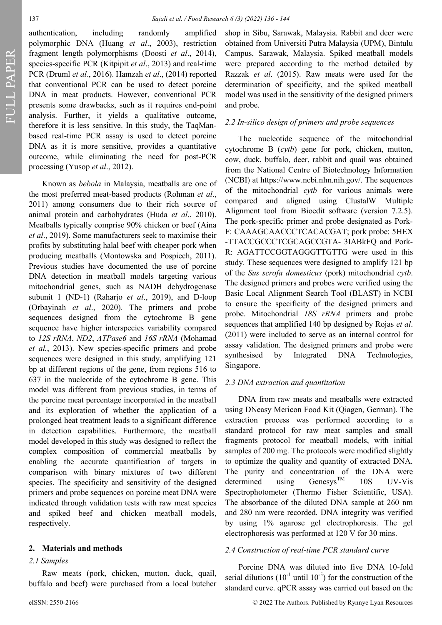FULL PAPER

authentication, including randomly amplified polymorphic DNA (Huang *et al*., 2003), restriction fragment length polymorphisms (Doosti *et al*., 2014), species-specific PCR (Kitpipit *et al*., 2013) and real-time PCR (Druml *et al*., 2016). Hamzah *et al*., (2014) reported that conventional PCR can be used to detect porcine DNA in meat products. However, conventional PCR presents some drawbacks, such as it requires end-point analysis. Further, it yields a qualitative outcome, therefore it is less sensitive. In this study, the TaqManbased real-time PCR assay is used to detect porcine DNA as it is more sensitive, provides a quantitative outcome, while eliminating the need for post-PCR processing (Yusop *et al*., 2012).

Known as *bebola* in Malaysia, meatballs are one of the most preferred meat-based products (Rohman *et al*., 2011) among consumers due to their rich source of animal protein and carbohydrates (Huda *et al*., 2010). Meatballs typically comprise 90% chicken or beef (Aina *et al*., 2019). Some manufacturers seek to maximise their profits by substituting halal beef with cheaper pork when producing meatballs (Montowska and Pospiech, 2011). Previous studies have documented the use of porcine DNA detection in meatball models targeting various mitochondrial genes, such as NADH dehydrogenase subunit 1 (ND-1) (Raharjo *et al*., 2019), and D-loop (Orbayinah *et al*., 2020). The primers and probe sequences designed from the cytochrome B gene sequence have higher interspecies variability compared to *12S rRNA*, *ND2*, *ATPase6* and *16S rRNA* (Mohamad *et al.*, 2013). New species-specific primers and probe sequences were designed in this study, amplifying 121 bp at different regions of the gene, from regions 516 to 637 in the nucleotide of the cytochrome B gene. This model was different from previous studies, in terms of the porcine meat percentage incorporated in the meatball and its exploration of whether the application of a prolonged heat treatment leads to a significant difference in detection capabilities. Furthermore, the meatball model developed in this study was designed to reflect the complex composition of commercial meatballs by enabling the accurate quantification of targets in comparison with binary mixtures of two different species. The specificity and sensitivity of the designed primers and probe sequences on porcine meat DNA were indicated through validation tests with raw meat species and spiked beef and chicken meatball models, respectively.

### **2. Materials and methods**

#### *2.1 Samples*

Raw meats (pork, chicken, mutton, duck, quail, buffalo and beef) were purchased from a local butcher shop in Sibu, Sarawak, Malaysia. Rabbit and deer were obtained from Universiti Putra Malaysia (UPM), Bintulu Campus, Sarawak, Malaysia. Spiked meatball models were prepared according to the method detailed by Razzak *et al*. (2015). Raw meats were used for the determination of specificity, and the spiked meatball model was used in the sensitivity of the designed primers and probe.

### *2.2 In-silico design of primers and probe sequences*

The nucleotide sequence of the mitochondrial cytochrome B (*cytb*) gene for pork, chicken, mutton, cow, duck, buffalo, deer, rabbit and quail was obtained from the National Centre of Biotechnology Information (NCBI) at https://www.ncbi.nlm.nih.gov/. The sequences of the mitochondrial *cytb* for various animals were compared and aligned using ClustalW Multiple Alignment tool from Bioedit software (version 7.2.5). The pork-specific primer and probe designated as Pork-F: CAAAGCAACCCTCACACGAT; pork probe: 5HEX -TTACCGCCCTCGCAGCCGTA- 3IABkFQ and Pork-R: AGATTCCGGTAGGGTTGTTG were used in this study. These sequences were designed to amplify 121 bp of the *Sus scrofa domesticus* (pork) mitochondrial *cytb*. The designed primers and probes were verified using the Basic Local Alignment Search Tool (BLAST) in NCBI to ensure the specificity of the designed primers and probe. Mitochondrial *18S rRNA* primers and probe sequences that amplified 140 bp designed by Rojas *et al*. (2011) were included to serve as an internal control for assay validation. The designed primers and probe were synthesised by Integrated DNA Technologies, Singapore.

#### *2.3 DNA extraction and quantitation*

DNA from raw meats and meatballs were extracted using DNeasy Mericon Food Kit (Qiagen, German). The extraction process was performed according to a standard protocol for raw meat samples and small fragments protocol for meatball models, with initial samples of 200 mg. The protocols were modified slightly to optimize the quality and quantity of extracted DNA. The purity and concentration of the DNA were determined using Genesys<sup>TM</sup> 10S UV-Vis Spectrophotometer (Thermo Fisher Scientific, USA). The absorbance of the diluted DNA sample at 260 nm and 280 nm were recorded. DNA integrity was verified by using 1% agarose gel electrophoresis. The gel electrophoresis was performed at 120 V for 30 mins.

#### *2.4 Construction of real-time PCR standard curve*

Porcine DNA was diluted into five DNA 10-fold serial dilutions  $(10^{-1}$  until  $10^{-5}$ ) for the construction of the standard curve. qPCR assay was carried out based on the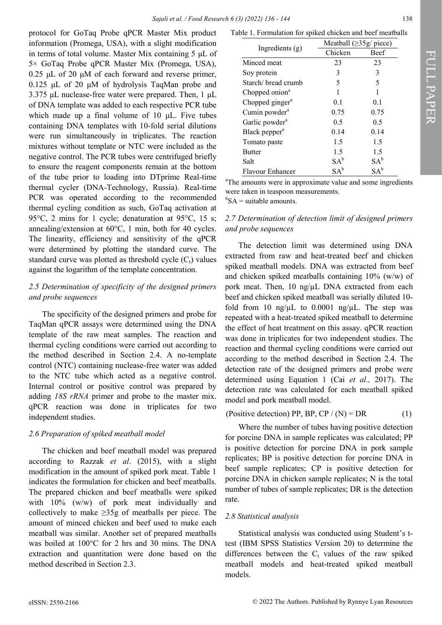protocol for GoTaq Probe qPCR Master Mix product information (Promega, USA), with a slight modification in terms of total volume. Master Mix containing 5 μL of 5× GoTaq Probe qPCR Master Mix (Promega, USA), 0.25 μL of 20 μM of each forward and reverse primer, 0.125 μL of 20 μM of hydrolysis TaqMan probe and 3.375 μL nuclease-free water were prepared. Then, 1 μL of DNA template was added to each respective PCR tube which made up a final volume of 10 μL. Five tubes containing DNA templates with 10-fold serial dilutions were run simultaneously in triplicates. The reaction mixtures without template or NTC were included as the negative control. The PCR tubes were centrifuged briefly to ensure the reagent components remain at the bottom of the tube prior to loading into DTprime Real-time thermal cycler (DNA-Technology, Russia). Real-time PCR was operated according to the recommended thermal cycling condition as such, GoTaq activation at 95°C, 2 mins for 1 cycle; denaturation at 95°C, 15 s; annealing/extension at 60°C, 1 min, both for 40 cycles. The linearity, efficiency and sensitivity of the qPCR were determined by plotting the standard curve. The standard curve was plotted as threshold cycle  $(C_t)$  values against the logarithm of the template concentration.

### *2.5 Determination of specificity of the designed primers and probe sequences*

The specificity of the designed primers and probe for TaqMan qPCR assays were determined using the DNA template of the raw meat samples. The reaction and thermal cycling conditions were carried out according to the method described in Section 2.4. A no-template control (NTC) containing nuclease-free water was added to the NTC tube which acted as a negative control. Internal control or positive control was prepared by adding *18S rRNA* primer and probe to the master mix. qPCR reaction was done in triplicates for two independent studies.

### *2.6 Preparation of spiked meatball model*

The chicken and beef meatball model was prepared according to Razzak *et al*. (2015), with a slight modification in the amount of spiked pork meat. Table 1 indicates the formulation for chicken and beef meatballs. The prepared chicken and beef meatballs were spiked with 10% (w/w) of pork meat individually and collectively to make  $\geq$ 35g of meatballs per piece. The amount of minced chicken and beef used to make each meatball was similar. Another set of prepared meatballs was boiled at 100°C for 2 hrs and 30 mins. The DNA extraction and quantitation were done based on the method described in Section 2.3.

|                             |         | Meatball $(\geq 35g$ piece) |  |  |  |  |
|-----------------------------|---------|-----------------------------|--|--|--|--|
| Ingredients $(g)$           | Chicken | <b>Beef</b>                 |  |  |  |  |
| Minced meat                 | 23      | 23                          |  |  |  |  |
| Soy protein                 | 3       | 3                           |  |  |  |  |
| Starch/ bread crumb         | 5       | 5                           |  |  |  |  |
| Chopped onion <sup>a</sup>  |         |                             |  |  |  |  |
| Chopped ginger <sup>a</sup> | 0.1     | 0.1                         |  |  |  |  |
| Cumin powder <sup>a</sup>   | 0.75    | 0.75                        |  |  |  |  |
| Garlic powder <sup>a</sup>  | 0.5     | 0.5                         |  |  |  |  |
| Black pepper <sup>a</sup>   | 0.14    | 0.14                        |  |  |  |  |
| Tomato paste                | 1.5     | 1.5                         |  |  |  |  |
| <b>Butter</b>               | 1.5     | 1.5                         |  |  |  |  |
| Salt                        | $SA^b$  | $SA^b$                      |  |  |  |  |
| Flavour Enhancer            | $SA^b$  | $SA^b$                      |  |  |  |  |

<sup>a</sup>The amounts were in approximate value and some ingredients were taken in teaspoon measurements.

 ${}^{\text{b}}\text{SA}$  = suitable amounts.

# *2.7 Determination of detection limit of designed primers and probe sequences*

The detection limit was determined using DNA extracted from raw and heat-treated beef and chicken spiked meatball models. DNA was extracted from beef and chicken spiked meatballs containing 10% (w/w) of pork meat. Then,  $10 \text{ ng/µL}$  DNA extracted from each beef and chicken spiked meatball was serially diluted 10 fold from 10 ng/ $\mu$ L to 0.0001 ng/ $\mu$ L. The step was repeated with a heat-treated spiked meatball to determine the effect of heat treatment on this assay. qPCR reaction was done in triplicates for two independent studies. The reaction and thermal cycling conditions were carried out according to the method described in Section 2.4. The detection rate of the designed primers and probe were determined using Equation 1 (Cai *et al.,* 2017). The detection rate was calculated for each meatball spiked model and pork meatball model.

(Positive detection) PP, BP, CP / (N) = DR (1)

Where the number of tubes having positive detection for porcine DNA in sample replicates was calculated; PP is positive detection for porcine DNA in pork sample replicates; BP is positive detection for porcine DNA in beef sample replicates; CP is positive detection for porcine DNA in chicken sample replicates; N is the total number of tubes of sample replicates; DR is the detection rate.

## *2.8 Statistical analysis*

Statistical analysis was conducted using Student's ttest (IBM SPSS Statistics Version 20) to determine the differences between the  $C_t$  values of the raw spiked meatball models and heat-treated spiked meatball models.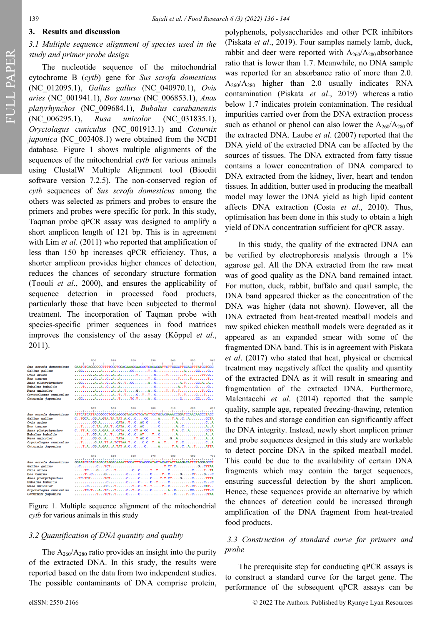FULL PAPER

## **3. Results and discussion**

# *3.1 Multiple sequence alignment of species used in the study and primer probe design*

The nucleotide sequence of the mitochondrial cytochrome B (*cytb*) gene for *Sus scrofa domesticus* (NC\_012095.1), *Gallus gallus* (NC\_040970.1), *Ovis aries* (NC\_001941.1), *Bos taurus* (NC\_006853.1), *Anas platyrhynchos* (NC\_009684.1), *Bubalus carabanensis* (NC\_006295.1), *Rusa unicolor* (NC\_031835.1), *Oryctolagus cuniculus* (NC\_001913.1) and *Coturnix japonica* (NC 003408.1) were obtained from the NCBI database. Figure 1 shows multiple alignments of the sequences of the mitochondrial *cytb* for various animals using ClustalW Multiple Alignment tool (Bioedit software version 7.2.5). The non-conserved region of *cytb* sequences of *Sus scrofa domesticus* among the others was selected as primers and probes to ensure the primers and probes were specific for pork. In this study, Taqman probe qPCR assay was designed to amplify a short amplicon length of 121 bp. This is in agreement with Lim *et al*. (2011) who reported that amplification of less than 150 bp increases qPCR efficiency. Thus, a shorter amplicon provides higher chances of detection, reduces the chances of secondary structure formation (Toouli *et al*., 2000), and ensures the applicability of sequence detection in processed food products, particularly those that have been subjected to thermal treatment. The incorporation of Taqman probe with species-specific primer sequences in food matrices improves the consistency of the assay (Köppel *et al*., 2011).

|                             | 500                                                                                                                                                                                                                                                                                                                                                                                                                | 510  | 520         | 530 | 540 | 550                | 560 |
|-----------------------------|--------------------------------------------------------------------------------------------------------------------------------------------------------------------------------------------------------------------------------------------------------------------------------------------------------------------------------------------------------------------------------------------------------------------|------|-------------|-----|-----|--------------------|-----|
| Sus scrofa domesticus       | GAATCTGAGGGGGCTTTTCCGTCGACAAAGCAACCCTCACACGATTCTTCGCCTTCCACTTTATCCTGCC                                                                                                                                                                                                                                                                                                                                             |      |             |     |     |                    |     |
|                             |                                                                                                                                                                                                                                                                                                                                                                                                                    |      |             |     |     |                    |     |
| Gallus gallus<br>Ovis aries | $\ldots$ GC $\ldots$ AACC $\ldots$ TC $\ldots$ CCCCC<br>$\ldots, G, A, A, C, A, A, \ldots, \ldots, T, \ldots, C, \ldots, T, \ldots, T, \ldots, T, C,$                                                                                                                                                                                                                                                              |      |             |     |     |                    |     |
|                             |                                                                                                                                                                                                                                                                                                                                                                                                                    |      |             |     |     |                    |     |
| Bos taurus                  |                                                                                                                                                                                                                                                                                                                                                                                                                    |      |             |     |     |                    |     |
| Anas platyrhynchos          |                                                                                                                                                                                                                                                                                                                                                                                                                    |      |             |     |     |                    |     |
| Bubalus bubalis             |                                                                                                                                                                                                                                                                                                                                                                                                                    |      |             |     |     |                    |     |
| Rusa unicolor               | $\ldots, \ldots, A, \ldots, A, A, A, T, \ldots, G, \ldots, A, C, \ldots, T, T, T, \ldots, \ldots, T, C, C$                                                                                                                                                                                                                                                                                                         |      |             |     |     |                    |     |
| Oryctolagus cuniculus       |                                                                                                                                                                                                                                                                                                                                                                                                                    |      |             |     |     |                    |     |
| Coturnix japonica           | $G(C, \ldots, A, \ldots, A, T, \ldots, T, T, \ldots, A, C, \ldots, \ldots, C, \ldots, C, \ldots, C, C, \ldots, C, \ldots, C, \ldots, C, \ldots, C, \ldots, C, \ldots, C, \ldots, C, \ldots, C, \ldots, C, \ldots, C, \ldots, C, \ldots, C, \ldots, C, \ldots, C, \ldots, C, \ldots, C, \ldots, C, \ldots, C, \ldots, C, \ldots, C, \ldots, C, \ldots, C, \ldots, C, \ldots, C, \ldots, C, \ldots, C, \ldots, C, \$ |      |             |     |     |                    |     |
|                             |                                                                                                                                                                                                                                                                                                                                                                                                                    |      |             |     |     |                    |     |
|                             | 570                                                                                                                                                                                                                                                                                                                                                                                                                | 580  | 590         | 600 | 610 | 620                | 630 |
|                             |                                                                                                                                                                                                                                                                                                                                                                                                                    |      |             |     |     |                    |     |
| Sus scrofa domesticus       | ATTCATCATTACCGCCCTCGCAGCCGTACATCTCATATTCCTGCACGAAACCGGATCCAACAACCCTACC                                                                                                                                                                                                                                                                                                                                             |      |             |     |     |                    |     |
| Gallus gallus<br>Ovis aries | $C.\cdot TGCA.\cdot CG.A.GTA.TA.TAT.A.C.\cdot.C.\cdot \ldots CC.\cdot \ldots A.\cdot \ldots T.A.\cdot.C.\cdot A.\cdot \ldots \ldots CCTA$                                                                                                                                                                                                                                                                          |      |             |     |     |                    |     |
|                             | $\dots \dots \dots \dots$ CG.A. $\dots \dots \dots$ CATA. $T \dots C \dots AC \dots C \dots \dots C \dots \dots A \dots \dots \dots \dots \dots C \dots A$                                                                                                                                                                                                                                                         |      |             |     |     |                    |     |
| Bos taurus                  |                                                                                                                                                                                                                                                                                                                                                                                                                    |      |             |     |     |                    |     |
| Anas platyrhynchos          | $C.\cdot TT.A.\cdot CG.A.GAA.\cdot A.CCTA.\cdot C.\cdot CT.A.CC.\cdot \ldots A.\cdot \ldots T.A.\cdot C.\cdot A.\cdot \ldots \ldots CCTA$                                                                                                                                                                                                                                                                          |      |             |     |     |                    |     |
| Bubalus bubalis             | $\ldots$ , $T \ldots CG \ldots A \ldots T \ldots ATA \ldots C \ldots C \ldots AT \ldots T \ldots C \ldots \ldots A \ldots A \ldots A \ldots A \ldots A$                                                                                                                                                                                                                                                            |      |             |     |     |                    |     |
| Rusa unicolor               |                                                                                                                                                                                                                                                                                                                                                                                                                    |      |             |     |     |                    |     |
| Oryctolagus cuniculus       |                                                                                                                                                                                                                                                                                                                                                                                                                    |      |             |     |     |                    |     |
| Coturnix japonica           |                                                                                                                                                                                                                                                                                                                                                                                                                    |      |             |     |     |                    |     |
|                             |                                                                                                                                                                                                                                                                                                                                                                                                                    |      |             |     |     |                    |     |
|                             | 640                                                                                                                                                                                                                                                                                                                                                                                                                | 650. | 660 670 680 |     |     | <b>CALCULATION</b> | 200 |
| Sus scrofa domesticus       | GGAATCTCATCAGACATAGACAAAATTCCATTTCACCCATACTACACTATTAAAGACATTCTAGGAGCCT                                                                                                                                                                                                                                                                                                                                             |      |             |     |     |                    |     |
| Gallus gallus               |                                                                                                                                                                                                                                                                                                                                                                                                                    |      |             |     |     |                    |     |
| Ovis aries                  |                                                                                                                                                                                                                                                                                                                                                                                                                    |      |             |     |     |                    |     |
| Bos taurus                  |                                                                                                                                                                                                                                                                                                                                                                                                                    |      |             |     |     |                    |     |
| Anas platyrhynchos          |                                                                                                                                                                                                                                                                                                                                                                                                                    |      |             |     |     |                    |     |
| Bubalus bubalis             |                                                                                                                                                                                                                                                                                                                                                                                                                    |      |             |     |     |                    |     |
| Rusa unicolor               |                                                                                                                                                                                                                                                                                                                                                                                                                    |      |             |     |     |                    |     |
| Oryctolagus cuniculus       |                                                                                                                                                                                                                                                                                                                                                                                                                    |      |             |     |     |                    |     |
| Coturnate department        | <b>PROPER COLOR PROPERTY OF CONTACT</b>                                                                                                                                                                                                                                                                                                                                                                            |      |             |     |     |                    |     |

Figure 1. Multiple sequence alignment of the mitochondrial *cytb* for various animals in this study

# *3.2 Quantification of DNA quantity and quality*

The  $A_{260}/A_{280}$  ratio provides an insight into the purity of the extracted DNA. In this study, the results were reported based on the data from two independent studies. The possible contaminants of DNA comprise protein,

polyphenols, polysaccharides and other PCR inhibitors (Piskata *et al*., 2019). Four samples namely lamb, duck, rabbit and deer were reported with  $A_{260}/A_{280}$  absorbance ratio that is lower than 1.7. Meanwhile, no DNA sample was reported for an absorbance ratio of more than 2.0.  $A_{260}/A_{280}$  higher than 2.0 usually indicates RNA contamination (Piskata *et al*., 2019) whereas a ratio below 1.7 indicates protein contamination. The residual impurities carried over from the DNA extraction process such as ethanol or phenol can also lower the  $A_{260}/A_{280}$  of the extracted DNA. Laube *et al*. (2007) reported that the DNA yield of the extracted DNA can be affected by the sources of tissues. The DNA extracted from fatty tissue contains a lower concentration of DNA compared to DNA extracted from the kidney, liver, heart and tendon tissues. In addition, butter used in producing the meatball model may lower the DNA yield as high lipid content affects DNA extraction (Costa *et al*., 2010). Thus, optimisation has been done in this study to obtain a high yield of DNA concentration sufficient for qPCR assay.

In this study, the quality of the extracted DNA can be verified by electrophoresis analysis through a 1% agarose gel. All the DNA extracted from the raw meat was of good quality as the DNA band remained intact. For mutton, duck, rabbit, buffalo and quail sample, the DNA band appeared thicker as the concentration of the DNA was higher (data not shown). However, all the DNA extracted from heat-treated meatball models and raw spiked chicken meatball models were degraded as it appeared as an expanded smear with some of the fragmented DNA band. This is in agreement with Piskata *et al*. (2017) who stated that heat, physical or chemical treatment may negatively affect the quality and quantity of the extracted DNA as it will result in smearing and fragmentation of the extracted DNA. Furthermore, Malentacchi *et al*. (2014) reported that the sample quality, sample age, repeated freezing-thawing, retention to the tubes and storage condition can significantly affect the DNA integrity. Instead, newly short amplicon primer and probe sequences designed in this study are workable to detect porcine DNA in the spiked meatball model. This could be due to the availability of certain DNA fragments which may contain the target sequences, ensuring successful detection by the short amplicon. Hence, these sequences provide an alternative by which the chances of detection could be increased through amplification of the DNA fragment from heat-treated food products.

# *3.3 Construction of standard curve for primers and probe*

The prerequisite step for conducting qPCR assays is to construct a standard curve for the target gene. The performance of the subsequent qPCR assays can be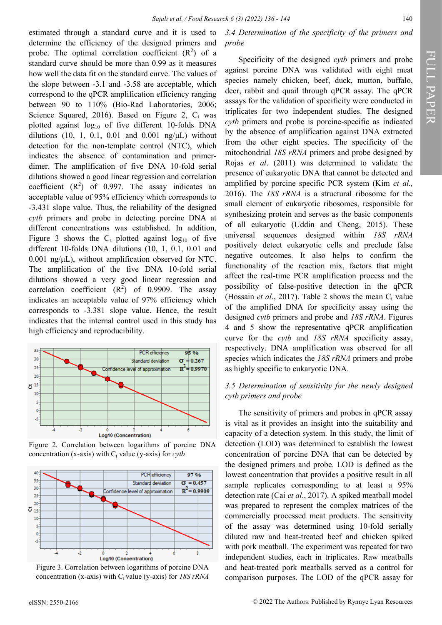estimated through a standard curve and it is used to determine the efficiency of the designed primers and probe. The optimal correlation coefficient  $(R^2)$  of a standard curve should be more than 0.99 as it measures how well the data fit on the standard curve. The values of the slope between -3.1 and -3.58 are acceptable, which correspond to the qPCR amplification efficiency ranging between 90 to 110% (Bio-Rad Laboratories, 2006; Science Squared, 2016). Based on Figure 2,  $C_t$  was plotted against  $log_{10}$  of five different 10-folds DNA dilutions (10, 1, 0.1, 0.01 and 0.001 ng/ $\mu$ L) without detection for the non-template control (NTC), which indicates the absence of contamination and primerdimer. The amplification of five DNA 10-fold serial dilutions showed a good linear regression and correlation coefficient  $(R^2)$  of 0.997. The assay indicates an acceptable value of 95% efficiency which corresponds to -3.431 slope value. Thus, the reliability of the designed *cytb* primers and probe in detecting porcine DNA at different concentrations was established. In addition, Figure 3 shows the  $C_t$  plotted against log<sub>10</sub> of five different 10-folds DNA dilutions (10, 1, 0.1, 0.01 and 0.001 ng/μL), without amplification observed for NTC. The amplification of the five DNA 10-fold serial dilutions showed a very good linear regression and correlation coefficient  $(R^2)$  of 0.9909. The assay indicates an acceptable value of 97% efficiency which corresponds to -3.381 slope value. Hence, the result indicates that the internal control used in this study has high efficiency and reproducibility.



Figure 2. Correlation between logarithms of porcine DNA concentration (x-axis) with  $C_t$  value (y-axis) for *cytb* 



Figure 3. Correlation between logarithms of porcine DNA concentration (x-axis) with  $C_t$  value (y-axis) for *18S rRNA* 

*3.4 Determination of the specificity of the primers and probe*

Specificity of the designed *cytb* primers and probe against porcine DNA was validated with eight meat species namely chicken, beef, duck, mutton, buffalo, deer, rabbit and quail through qPCR assay. The qPCR assays for the validation of specificity were conducted in triplicates for two independent studies. The designed *cytb* primers and probe is porcine-specific as indicated by the absence of amplification against DNA extracted from the other eight species. The specificity of the mitochondrial *18S rRNA* primers and probe designed by Rojas *et al*. (2011) was determined to validate the presence of eukaryotic DNA that cannot be detected and amplified by porcine specific PCR system (Kim *et al.,* 2016). The *18S rRNA* is a structural ribosome for the small element of eukaryotic ribosomes, responsible for synthesizing protein and serves as the basic components of all eukaryotic (Uddin and Cheng, 2015). These universal sequences designed within *18S rRNA*  positively detect eukaryotic cells and preclude false negative outcomes. It also helps to confirm the functionality of the reaction mix, factors that might affect the real-time PCR amplification process and the possibility of false-positive detection in the qPCR (Hossain *et al.*, 2017). Table 2 shows the mean  $C_t$  value of the amplified DNA for specificity assay using the designed *cytb* primers and probe and *18S rRNA*. Figures 4 and 5 show the representative qPCR amplification curve for the *cytb* and *18S rRNA* specificity assay, respectively. DNA amplification was observed for all species which indicates the *18S rRNA* primers and probe as highly specific to eukaryotic DNA.

### *3.5 Determination of sensitivity for the newly designed cytb primers and probe*

The sensitivity of primers and probes in qPCR assay is vital as it provides an insight into the suitability and capacity of a detection system. In this study, the limit of detection (LOD) was determined to establish the lowest concentration of porcine DNA that can be detected by the designed primers and probe. LOD is defined as the lowest concentration that provides a positive result in all sample replicates corresponding to at least a 95% detection rate (Cai *et al*., 2017). A spiked meatball model was prepared to represent the complex matrices of the commercially processed meat products. The sensitivity of the assay was determined using 10-fold serially diluted raw and heat-treated beef and chicken spiked with pork meatball. The experiment was repeated for two independent studies, each in triplicates. Raw meatballs and heat-treated pork meatballs served as a control for comparison purposes. The LOD of the qPCR assay for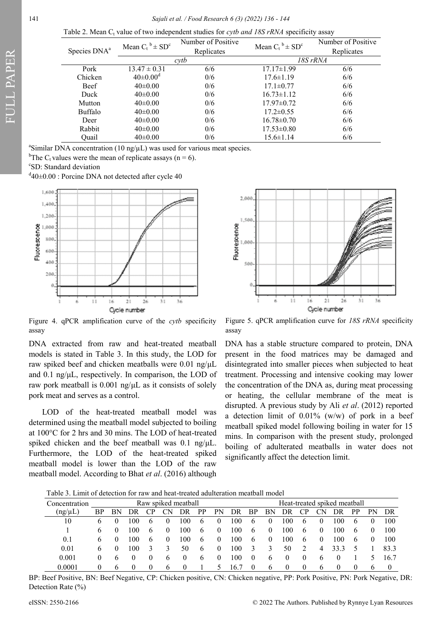Table 2. Mean C<sub>t</sub> value of two independent studies for *cytb and 18S rRNA* specificity assay

| Species DNA <sup>a</sup> | Mean $C_t^b \pm SD^c$ | Number of Positive | Mean $C_t^b \pm SD^c$ | Number of Positive |  |  |
|--------------------------|-----------------------|--------------------|-----------------------|--------------------|--|--|
|                          |                       | Replicates         |                       | Replicates         |  |  |
|                          |                       | cytb               | 18S rRNA              |                    |  |  |
| Pork                     | $13.47 \pm 0.31$      | 6/6                | $17.17 \pm 1.99$      | 6/6                |  |  |
| Chicken                  | $40 \pm 0.00^{\rm d}$ | 0/6                | $17.6 \pm 1.19$       | 6/6                |  |  |
| <b>Beef</b>              | $40\pm0.00$           | 0/6                | $17.1 \pm 0.77$       | 6/6                |  |  |
| Duck                     | $40\pm0.00$           | 0/6                | $16.73 \pm 1.12$      | 6/6                |  |  |
| Mutton                   | $40\pm0.00$           | 0/6                | $17.97 \pm 0.72$      | 6/6                |  |  |
| Buffalo                  | $40\pm0.00$           | 0/6                | $17.2 \pm 0.55$       | 6/6                |  |  |
| Deer                     | $40\pm0.00$           | 0/6                | $16.78 \pm 0.70$      | 6/6                |  |  |
| Rabbit                   | $40\pm0.00$           | 0/6                | $17.53 \pm 0.80$      | 6/6                |  |  |
| Ouail                    | $40\pm0.00$           | 0/6                | $15.6 \pm 1.14$       | 6/6                |  |  |

<sup>a</sup>Similar DNA concentration (10 ng/ $\mu$ L) was used for various meat species.

<sup>b</sup>The C<sub>t</sub> values were the mean of replicate assays (n = 6).

c SD: Standard deviation

 $d_{40}$  +0.00 : Porcine DNA not detected after cycle 40



Figure 4. qPCR amplification curve of the *cytb* specificity assay

DNA extracted from raw and heat-treated meatball models is stated in Table 3. In this study, the LOD for raw spiked beef and chicken meatballs were 0.01 ng/μL and 0.1 ng/μL, respectively. In comparison, the LOD of raw pork meatball is 0.001 ng/μL as it consists of solely pork meat and serves as a control.

LOD of the heat-treated meatball model was determined using the meatball model subjected to boiling at 100°C for 2 hrs and 30 mins. The LOD of heat-treated spiked chicken and the beef meatball was 0.1 ng/μL. Furthermore, the LOD of the heat-treated spiked meatball model is lower than the LOD of the raw meatball model. According to Bhat *et al*. (2016) although



Figure 5. qPCR amplification curve for *18S rRNA* specificity assay

DNA has a stable structure compared to protein, DNA present in the food matrices may be damaged and disintegrated into smaller pieces when subjected to heat treatment. Processing and intensive cooking may lower the concentration of the DNA as, during meat processing or heating, the cellular membrane of the meat is disrupted. A previous study by Ali *et al*. (2012) reported a detection limit of 0.01% (w/w) of pork in a beef meatball spiked model following boiling in water for 15 mins. In comparison with the present study, prolonged boiling of adulterated meatballs in water does not significantly affect the detection limit.

Table 3. Limit of detection for raw and heat-treated adulteration meatball model

| Concentration |              |   |    |              |          | Raw spiked meatball |              |          |                 |          |              |                     |              |          | Heat-treated spiked meatball |              |    |      |
|---------------|--------------|---|----|--------------|----------|---------------------|--------------|----------|-----------------|----------|--------------|---------------------|--------------|----------|------------------------------|--------------|----|------|
| (ng/µL)       | ВP           |   |    |              |          |                     | рp           | РN       | DR              | ВP       | ΒN           |                     |              |          |                              | DР           | Þ٢ | DR   |
| 10            | b            |   | 00 | <sub>(</sub> |          | 100                 | b            |          | -00             | b        |              | $($ $($ $)$ $($ $)$ | <sub>b</sub> | $\theta$ | 00                           | b            |    | 100  |
|               | <sub>0</sub> |   | 00 | <sub>0</sub> | $\theta$ | 100                 | <sub>0</sub> | O        | 100             | $\sigma$ | $_{0}$       | 00 <sup>0</sup>     | $\sigma$     | $\theta$ | 100                          | b            |    | 100  |
| 0.1           | <sub>6</sub> |   | 00 | <sub>(</sub> | $\theta$ | 100                 | <sub>b</sub> |          | $\overline{00}$ | $\sigma$ | 0            | .00                 | h            | $\theta$ | 100                          | b            |    | 100  |
| 0.01          | <sub>6</sub> |   | 00 | 3            | 3        | 50                  | <sub>0</sub> | $\theta$ | 100             | 3        | 3            | 50                  |              | 4        | 33.3                         |              |    | 83.3 |
| 0.001         |              |   | O  | O            | b        |                     | o            |          | $\overline{00}$ | $\bf{0}$ | <sub>b</sub> |                     |              | b        |                              |              |    | 16.7 |
| 0.0001        |              | h | 0  | 0            | b        |                     |              |          | 16 '            | 0        | h            | $\theta$            |              | b        |                              | $\mathbf{0}$ | b  | 0    |

BP: Beef Positive, BN: Beef Negative, CP: Chicken positive, CN: Chicken negative, PP: Pork Positive, PN: Pork Negative, DR: Detection Rate (%)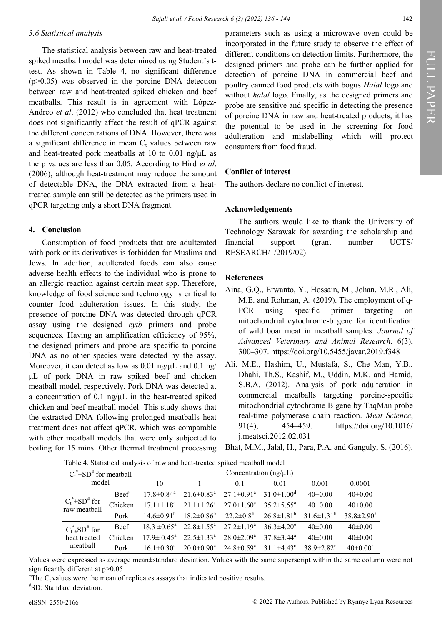### *3.6 Statistical analysis*

The statistical analysis between raw and heat-treated spiked meatball model was determined using Student's ttest. As shown in Table 4, no significant difference  $(p>0.05)$  was observed in the porcine DNA detection between raw and heat-treated spiked chicken and beef meatballs. This result is in agreement with López-Andreo *et al*. (2012) who concluded that heat treatment does not significantly affect the result of qPCR against the different concentrations of DNA. However, there was a significant difference in mean  $C_t$  values between raw and heat-treated pork meatballs at 10 to 0.01 ng/μL as the p values are less than 0.05. According to Hird *et al*. (2006), although heat-treatment may reduce the amount of detectable DNA, the DNA extracted from a heattreated sample can still be detected as the primers used in qPCR targeting only a short DNA fragment.

### **4. Conclusion**

Consumption of food products that are adulterated with pork or its derivatives is forbidden for Muslims and Jews. In addition, adulterated foods can also cause adverse health effects to the individual who is prone to an allergic reaction against certain meat spp. Therefore, knowledge of food science and technology is critical to counter food adulteration issues*.* In this study, the presence of porcine DNA was detected through qPCR assay using the designed *cytb* primers and probe sequences. Having an amplification efficiency of 95%, the designed primers and probe are specific to porcine DNA as no other species were detected by the assay. Moreover, it can detect as low as 0.01 ng/μL and 0.1 ng/ μL of pork DNA in raw spiked beef and chicken meatball model, respectively. Pork DNA was detected at a concentration of 0.1 ng/μL in the heat-treated spiked chicken and beef meatball model. This study shows that the extracted DNA following prolonged meatballs heat treatment does not affect qPCR, which was comparable with other meatball models that were only subjected to boiling for 15 mins. Other thermal treatment processing

parameters such as using a microwave oven could be incorporated in the future study to observe the effect of different conditions on detection limits. Furthermore, the designed primers and probe can be further applied for detection of porcine DNA in commercial beef and poultry canned food products with bogus *Halal* logo and without *halal* logo. Finally, as the designed primers and probe are sensitive and specific in detecting the presence of porcine DNA in raw and heat-treated products, it has the potential to be used in the screening for food adulteration and mislabelling which will protect consumers from food fraud.

### **Conflict of interest**

The authors declare no conflict of interest.

### **Acknowledgements**

The authors would like to thank the University of Technology Sarawak for awarding the scholarship and financial support (grant number UCTS/ RESEARCH/1/2019/02).

### **References**

- Aina, G.Q., Erwanto, Y., Hossain, M., Johan, M.R., Ali, M.E. and Rohman, A. (2019). The employment of q-PCR using specific primer targeting on mitochondrial cytochrome-b gene for identification of wild boar meat in meatball samples. *Journal of Advanced Veterinary and Animal Research*, 6(3), 300–307. https://doi.org/10.5455/javar.2019.f348
- Ali, M.E., Hashim, U., Mustafa, S., Che Man, Y.B., Dhahi, Th.S., Kashif, M., Uddin, M.K. and Hamid, S.B.A. (2012). Analysis of pork adulteration in commercial meatballs targeting porcine-specific mitochondrial cytochrome B gene by TaqMan probe real-time polymerase chain reaction. *Meat Science*, 91(4), 454–459. https://doi.org/10.1016/ j.meatsci.2012.02.031
- Bhat, M.M., Jalal, H., Para, P.A. and Ganguly, S. (2016).

| Table 4. Statistical analysis of raw and neat-treated spiked meatball model |             |                                                 |                                                       |                   |                         |                              |                       |  |  |  |  |
|-----------------------------------------------------------------------------|-------------|-------------------------------------------------|-------------------------------------------------------|-------------------|-------------------------|------------------------------|-----------------------|--|--|--|--|
| $C_t^* \pm SD^*$ for meatball                                               |             | Concentration $(ng/\mu L)$                      |                                                       |                   |                         |                              |                       |  |  |  |  |
| model                                                                       |             | 10                                              |                                                       | 0.1               | 0.01                    | 0.001                        | 0.0001                |  |  |  |  |
|                                                                             | <b>Beef</b> | $17.8 \pm 0.84$ <sup>a</sup>                    | $21.6 \pm 0.83^{\text{a}}$ $27.1 \pm 0.91^{\text{a}}$ |                   | $31.0 \pm 1.00^{\circ}$ | $40\pm0.00$                  | $40\pm0.00$           |  |  |  |  |
| $C_t^* \pm SD^{\#}$ for<br>raw meatball                                     | Chicken     | $17.1 \pm 1.18^{\rm a}$                         | $21.1 \pm 1.26^a$ $27.0 \pm 1.60^a$                   |                   | $35.2 \pm 5.55^{\circ}$ | $40\pm0.00$                  | $40\pm0.00$           |  |  |  |  |
|                                                                             | Pork        |                                                 | $14.6 \pm 0.91^b$ $18.2 \pm 0.86^b$ $22.2 \pm 0.8^b$  |                   | $26.8 \pm 1.81^{\rm b}$ | $31.6 \pm 1.31^b$            | $38.8 \pm 2.90^a$     |  |  |  |  |
| $C_{t}^{*}$ -SD <sup>#</sup> for                                            | <b>Beef</b> |                                                 | $18.3 \pm 0.65^a$ $22.8 \pm 1.55^a$ $27.2 \pm 1.19^a$ |                   | $36.3 \pm 4.20^e$       | $40\pm0.00$                  | $40\pm0.00$           |  |  |  |  |
| heat treated                                                                | Chicken     | $17.9 \pm 0.45^{\circ}$ $22.5 \pm 1.33^{\circ}$ |                                                       | $28.0 \pm 2.09^a$ | $37.8 \pm 3.44^{\circ}$ | $40\pm0.00$                  | $40\pm0.00$           |  |  |  |  |
| meathall                                                                    | Pork        | $16.1 \pm 0.30^{\circ}$                         | $20.0\pm0.90^{\circ}$ $24.8\pm0.59^{\circ}$           |                   | $31.1\pm4.43^{\circ}$   | $38.9 \pm 2.82$ <sup>c</sup> | $40 \pm 0.00^{\circ}$ |  |  |  |  |

Table 4. Statistical analysis of raw and heat-treated spiked meatball model

Values were expressed as average mean±standard deviation. Values with the same superscript within the same column were not significantly different at  $p > 0.05$ 

 $*$ The C<sub>t</sub> values were the mean of replicates assays that indicated positive results. # SD: Standard deviation.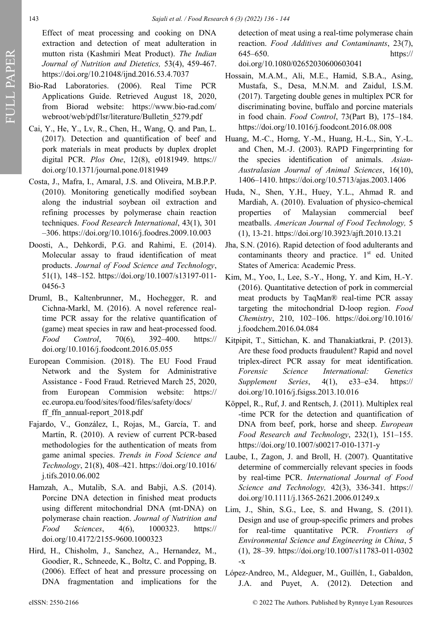Effect of meat processing and cooking on DNA extraction and detection of meat adulteration in mutton rista (Kashmiri Meat Product). *The Indian Journal of Nutrition and Dietetics,* 53(4), 459-467. https://doi.org/10.21048/ijnd.2016.53.4.7037

- Bio-Rad Laboratories. (2006). Real Time PCR Applications Guide. Retrieved August 18, 2020, from Biorad website: https://www.bio-rad.com/ webroot/web/pdf/lsr/literature/Bulletin\_5279.pdf
- Cai, Y., He, Y., Lv, R., Chen, H., Wang, Q. and Pan, L. (2017). Detection and quantification of beef and pork materials in meat products by duplex droplet digital PCR. *Plos One*, 12(8), e0181949. https:// doi.org/10.1371/journal.pone.0181949
- Costa, J., Mafra, I., Amaral, J.S. and Oliveira, M.B.P.P. (2010). Monitoring genetically modified soybean along the industrial soybean oil extraction and refining processes by polymerase chain reaction techniques. *Food Research International*, 43(1), 301 –306. https://doi.org/10.1016/j.foodres.2009.10.003
- Doosti, A., Dehkordi, P.G. and Rahimi, E. (2014). Molecular assay to fraud identification of meat products. *Journal of Food Science and Technology*, 51(1), 148–152. https://doi.org/10.1007/s13197-011- 0456-3
- Druml, B., Kaltenbrunner, M., Hochegger, R. and Cichna-Markl, M. (2016). A novel reference realtime PCR assay for the relative quantification of (game) meat species in raw and heat-processed food. *Food Control*, 70(6), 392–400. https:// doi.org/10.1016/j.foodcont.2016.05.055
- European Commision. (2018). The EU Food Fraud Network and the System for Administrative Assistance - Food Fraud. Retrieved March 25, 2020, from European Commision website: https:// ec.europa.eu/food/sites/food/files/safety/docs/ ff ffn annual-report  $2018.pdf$
- Fajardo, V., González, I., Rojas, M., García, T. and Martín, R. (2010). A review of current PCR-based methodologies for the authentication of meats from game animal species. *Trends in Food Science and Technology*, 21(8), 408–421. https://doi.org/10.1016/ j.tifs.2010.06.002
- Hamzah, A., Mutalib, S.A. and Babji, A.S. (2014). Porcine DNA detection in finished meat products using different mitochondrial DNA (mt-DNA) on polymerase chain reaction. *Journal of Nutrition and Food Sciences*, 4(6), 1000323. https:// doi.org/10.4172/2155-9600.1000323
- Hird, H., Chisholm, J., Sanchez, A., Hernandez, M., Goodier, R., Schneede, K., Boltz, C. and Popping, B. (2006). Effect of heat and pressure processing on DNA fragmentation and implications for the

detection of meat using a real-time polymerase chain reaction. *Food Additives and Contaminants*, 23(7), 645–650. https://

doi.org/10.1080/02652030600603041

- Hossain, M.A.M., Ali, M.E., Hamid, S.B.A., Asing, Mustafa, S., Desa, M.N.M. and Zaidul, I.S.M. (2017). Targeting double genes in multiplex PCR for discriminating bovine, buffalo and porcine materials in food chain. *Food Control*, 73(Part B), 175–184. https://doi.org/10.1016/j.foodcont.2016.08.008
- Huang, M.-C., Horng, Y.-M., Huang, H.-L., Sin, Y.-L. and Chen, M.-J. (2003). RAPD Fingerprinting for the species identification of animals. *Asian-Australasian Journal of Animal Sciences*, 16(10), 1406–1410. https://doi.org/10.5713/ajas.2003.1406
- Huda, N., Shen, Y.H., Huey, Y.L., Ahmad R. and Mardiah, A. (2010). Evaluation of physico-chemical properties of Malaysian commercial beef meatballs. *American Journal of Food Technology,* 5 (1), 13-21. https://doi.org/10.3923/ajft.2010.13.21
- Jha, S.N. (2016). Rapid detection of food adulterants and contaminants theory and practice.  $1<sup>st</sup>$  ed. United States of America: Academic Press.
- Kim, M., Yoo, I., Lee, S.-Y., Hong, Y. and Kim, H.-Y. (2016). Quantitative detection of pork in commercial meat products by TaqMan® real-time PCR assay targeting the mitochondrial D-loop region. *Food Chemistry*, 210, 102–106. https://doi.org/10.1016/ j.foodchem.2016.04.084
- Kitpipit, T., Sittichan, K. and Thanakiatkrai, P. (2013). Are these food products fraudulent? Rapid and novel triplex-direct PCR assay for meat identification. *Forensic Science International: Genetics Supplement Series*, 4(1), e33–e34. https:// doi.org/10.1016/j.fsigss.2013.10.016
- Köppel, R., Ruf, J. and Rentsch, J. (2011). Multiplex real -time PCR for the detection and quantification of DNA from beef, pork, horse and sheep. *European Food Research and Technology*, 232(1), 151–155. https://doi.org/10.1007/s00217-010-1371-y
- Laube, I., Zagon, J. and Broll, H. (2007). Quantitative determine of commercially relevant species in foods by real-time PCR. *International Journal of Food Science and Technology,* 42(3), 336-341. https:// doi.org/10.1111/j.1365-2621.2006.01249.x
- Lim, J., Shin, S.G., Lee, S. and Hwang, S. (2011). Design and use of group-specific primers and probes for real-time quantitative PCR. *Frontiers of Environmental Science and Engineering in China*, 5 (1), 28–39. https://doi.org/10.1007/s11783-011-0302 -x
- López-Andreo, M., Aldeguer, M., Guillén, I., Gabaldon, J.A. and Puyet, A. (2012). Detection and